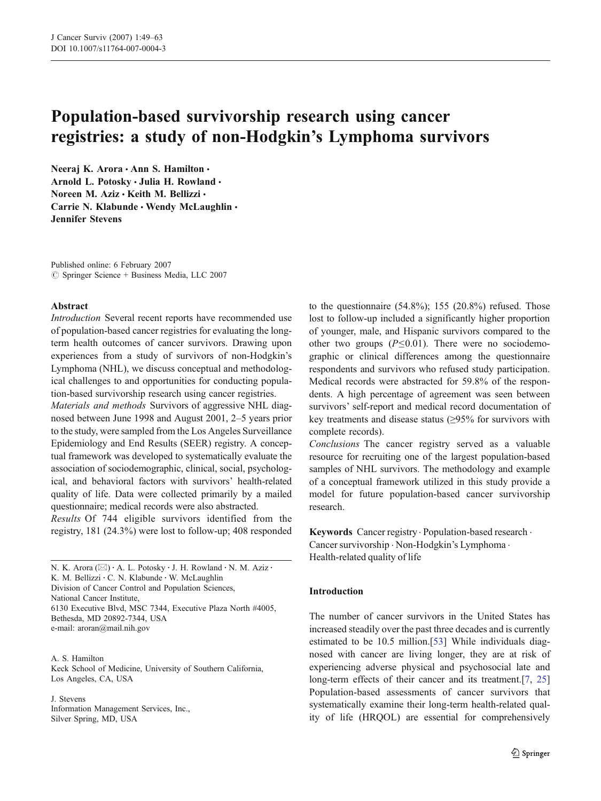# Population-based survivorship research using cancer registries: a study of non-Hodgkin's Lymphoma survivors

Neeraj K. Arora · Ann S. Hamilton · Arnold L. Potosky · Julia H. Rowland · Noreen M. Aziz · Keith M. Bellizzi · Carrie N. Klabunde • Wendy McLaughlin • Jennifer Stevens

Published online: 6 February 2007  $\circledcirc$  Springer Science + Business Media, LLC 2007

#### Abstract

Introduction Several recent reports have recommended use of population-based cancer registries for evaluating the longterm health outcomes of cancer survivors. Drawing upon experiences from a study of survivors of non-Hodgkin's Lymphoma (NHL), we discuss conceptual and methodological challenges to and opportunities for conducting population-based survivorship research using cancer registries.

Materials and methods Survivors of aggressive NHL diagnosed between June 1998 and August 2001, 2–5 years prior to the study, were sampled from the Los Angeles Surveillance Epidemiology and End Results (SEER) registry. A conceptual framework was developed to systematically evaluate the association of sociodemographic, clinical, social, psychological, and behavioral factors with survivors' health-related quality of life. Data were collected primarily by a mailed questionnaire; medical records were also abstracted.

Results Of 744 eligible survivors identified from the registry, 181 (24.3%) were lost to follow-up; 408 responded

N. K. Arora (⊠) · A. L. Potosky · J. H. Rowland · N. M. Aziz · K. M. Bellizzi : C. N. Klabunde : W. McLaughlin Division of Cancer Control and Population Sciences, National Cancer Institute, 6130 Executive Blvd, MSC 7344, Executive Plaza North #4005, Bethesda, MD 20892-7344, USA e-mail: aroran@mail.nih.gov

A. S. Hamilton Keck School of Medicine, University of Southern California, Los Angeles, CA, USA

J. Stevens

Information Management Services, Inc., Silver Spring, MD, USA

to the questionnaire  $(54.8\%)$ ; 155  $(20.8\%)$  refused. Those lost to follow-up included a significantly higher proportion of younger, male, and Hispanic survivors compared to the other two groups  $(P \le 0.01)$ . There were no sociodemographic or clinical differences among the questionnaire respondents and survivors who refused study participation. Medical records were abstracted for 59.8% of the respondents. A high percentage of agreement was seen between survivors' self-report and medical record documentation of key treatments and disease status (≥95% for survivors with complete records).

Conclusions The cancer registry served as a valuable resource for recruiting one of the largest population-based samples of NHL survivors. The methodology and example of a conceptual framework utilized in this study provide a model for future population-based cancer survivorship research.

Keywords Cancer registry . Population-based research . Cancer survivorship . Non-Hodgkin's Lymphoma . Health-related quality of life

# Introduction

The number of cancer survivors in the United States has increased steadily over the past three decades and is currently estimated to be 10.5 million.[\[53](#page-14-0)] While individuals diagnosed with cancer are living longer, they are at risk of experiencing adverse physical and psychosocial late and long-term effects of their cancer and its treatment.[[7,](#page-12-0) [25](#page-13-0)] Population-based assessments of cancer survivors that systematically examine their long-term health-related quality of life (HRQOL) are essential for comprehensively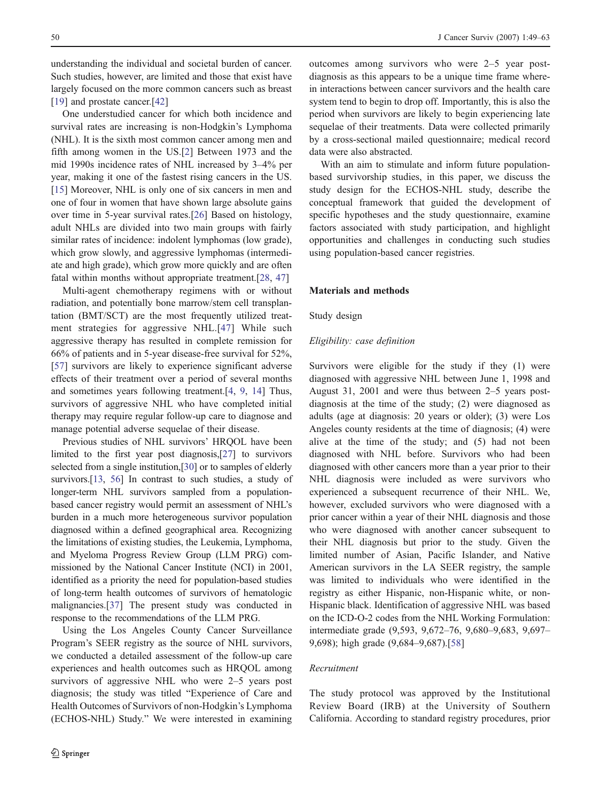understanding the individual and societal burden of cancer. Such studies, however, are limited and those that exist have largely focused on the more common cancers such as breast [[19\]](#page-13-0) and prostate cancer.<sup>[\[42](#page-13-0)]</sup>

One understudied cancer for which both incidence and survival rates are increasing is non-Hodgkin's Lymphoma (NHL). It is the sixth most common cancer among men and fifth among women in the US.[[2\]](#page-12-0) Between 1973 and the mid 1990s incidence rates of NHL increased by 3–4% per year, making it one of the fastest rising cancers in the US. [[15\]](#page-13-0) Moreover, NHL is only one of six cancers in men and one of four in women that have shown large absolute gains over time in 5-year survival rates.[[26\]](#page-13-0) Based on histology, adult NHLs are divided into two main groups with fairly similar rates of incidence: indolent lymphomas (low grade), which grow slowly, and aggressive lymphomas (intermediate and high grade), which grow more quickly and are often fatal within months without appropriate treatment.[[28,](#page-13-0) [47](#page-14-0)]

Multi-agent chemotherapy regimens with or without radiation, and potentially bone marrow/stem cell transplantation (BMT/SCT) are the most frequently utilized treatment strategies for aggressive NHL.[[47](#page-14-0)] While such aggressive therapy has resulted in complete remission for 66% of patients and in 5-year disease-free survival for 52%, [[57\]](#page-14-0) survivors are likely to experience significant adverse effects of their treatment over a period of several months and sometimes years following treatment.[[4,](#page-12-0) [9](#page-13-0), [14\]](#page-13-0) Thus, survivors of aggressive NHL who have completed initial therapy may require regular follow-up care to diagnose and manage potential adverse sequelae of their disease.

Previous studies of NHL survivors' HRQOL have been limited to the first year post diagnosis,[\[27\]](#page-13-0) to survivors selected from a single institution,[\[30\]](#page-13-0) or to samples of elderly survivors.<sup>[\[13,](#page-13-0) [56\]](#page-14-0)</sup> In contrast to such studies, a study of longer-term NHL survivors sampled from a populationbased cancer registry would permit an assessment of NHL's burden in a much more heterogeneous survivor population diagnosed within a defined geographical area. Recognizing the limitations of existing studies, the Leukemia, Lymphoma, and Myeloma Progress Review Group (LLM PRG) commissioned by the National Cancer Institute (NCI) in 2001, identified as a priority the need for population-based studies of long-term health outcomes of survivors of hematologic malignancies.[\[37](#page-13-0)] The present study was conducted in response to the recommendations of the LLM PRG.

Using the Los Angeles County Cancer Surveillance Program's SEER registry as the source of NHL survivors, we conducted a detailed assessment of the follow-up care experiences and health outcomes such as HRQOL among survivors of aggressive NHL who were 2–5 years post diagnosis; the study was titled "Experience of Care and Health Outcomes of Survivors of non-Hodgkin's Lymphoma (ECHOS-NHL) Study." We were interested in examining outcomes among survivors who were 2–5 year postdiagnosis as this appears to be a unique time frame wherein interactions between cancer survivors and the health care system tend to begin to drop off. Importantly, this is also the period when survivors are likely to begin experiencing late sequelae of their treatments. Data were collected primarily by a cross-sectional mailed questionnaire; medical record data were also abstracted.

With an aim to stimulate and inform future populationbased survivorship studies, in this paper, we discuss the study design for the ECHOS-NHL study, describe the conceptual framework that guided the development of specific hypotheses and the study questionnaire, examine factors associated with study participation, and highlight opportunities and challenges in conducting such studies using population-based cancer registries.

#### Materials and methods

#### Study design

#### Eligibility: case definition

Survivors were eligible for the study if they (1) were diagnosed with aggressive NHL between June 1, 1998 and August 31, 2001 and were thus between 2–5 years postdiagnosis at the time of the study; (2) were diagnosed as adults (age at diagnosis: 20 years or older); (3) were Los Angeles county residents at the time of diagnosis; (4) were alive at the time of the study; and (5) had not been diagnosed with NHL before. Survivors who had been diagnosed with other cancers more than a year prior to their NHL diagnosis were included as were survivors who experienced a subsequent recurrence of their NHL. We, however, excluded survivors who were diagnosed with a prior cancer within a year of their NHL diagnosis and those who were diagnosed with another cancer subsequent to their NHL diagnosis but prior to the study. Given the limited number of Asian, Pacific Islander, and Native American survivors in the LA SEER registry, the sample was limited to individuals who were identified in the registry as either Hispanic, non-Hispanic white, or non-Hispanic black. Identification of aggressive NHL was based on the ICD-O-2 codes from the NHL Working Formulation: intermediate grade (9,593, 9,672–76, 9,680–9,683, 9,697– 9,698); high grade (9,684–9,687).[\[58](#page-14-0)]

#### Recruitment

The study protocol was approved by the Institutional Review Board (IRB) at the University of Southern California. According to standard registry procedures, prior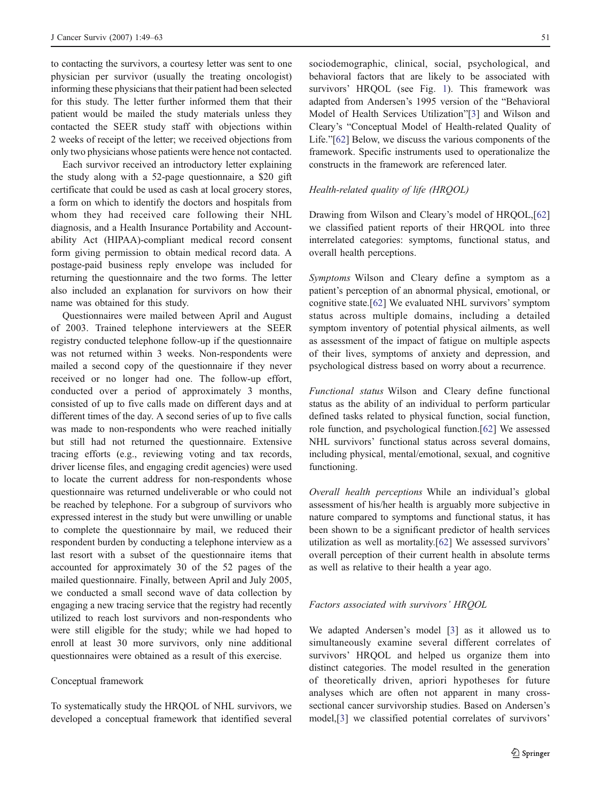to contacting the survivors, a courtesy letter was sent to one physician per survivor (usually the treating oncologist) informing these physicians that their patient had been selected for this study. The letter further informed them that their patient would be mailed the study materials unless they contacted the SEER study staff with objections within 2 weeks of receipt of the letter; we received objections from only two physicians whose patients were hence not contacted.

Each survivor received an introductory letter explaining the study along with a 52-page questionnaire, a \$20 gift certificate that could be used as cash at local grocery stores, a form on which to identify the doctors and hospitals from whom they had received care following their NHL diagnosis, and a Health Insurance Portability and Accountability Act (HIPAA)-compliant medical record consent form giving permission to obtain medical record data. A postage-paid business reply envelope was included for returning the questionnaire and the two forms. The letter also included an explanation for survivors on how their name was obtained for this study.

Questionnaires were mailed between April and August of 2003. Trained telephone interviewers at the SEER registry conducted telephone follow-up if the questionnaire was not returned within 3 weeks. Non-respondents were mailed a second copy of the questionnaire if they never received or no longer had one. The follow-up effort, conducted over a period of approximately 3 months, consisted of up to five calls made on different days and at different times of the day. A second series of up to five calls was made to non-respondents who were reached initially but still had not returned the questionnaire. Extensive tracing efforts (e.g., reviewing voting and tax records, driver license files, and engaging credit agencies) were used to locate the current address for non-respondents whose questionnaire was returned undeliverable or who could not be reached by telephone. For a subgroup of survivors who expressed interest in the study but were unwilling or unable to complete the questionnaire by mail, we reduced their respondent burden by conducting a telephone interview as a last resort with a subset of the questionnaire items that accounted for approximately 30 of the 52 pages of the mailed questionnaire. Finally, between April and July 2005, we conducted a small second wave of data collection by engaging a new tracing service that the registry had recently utilized to reach lost survivors and non-respondents who were still eligible for the study; while we had hoped to enroll at least 30 more survivors, only nine additional questionnaires were obtained as a result of this exercise.

#### Conceptual framework

To systematically study the HRQOL of NHL survivors, we developed a conceptual framework that identified several sociodemographic, clinical, social, psychological, and behavioral factors that are likely to be associated with survivors' HRQOL (see Fig. [1](#page-3-0)). This framework was adapted from Andersen's 1995 version of the "Behavioral Model of Health Services Utilization"[[3\]](#page-12-0) and Wilson and Cleary's "Conceptual Model of Health-related Quality of Life."[[62\]](#page-14-0) Below, we discuss the various components of the framework. Specific instruments used to operationalize the constructs in the framework are referenced later.

## Health-related quality of life (HRQOL)

Drawing from Wilson and Cleary's model of HRQOL,[\[62](#page-14-0)] we classified patient reports of their HRQOL into three interrelated categories: symptoms, functional status, and overall health perceptions.

Symptoms Wilson and Cleary define a symptom as a patient's perception of an abnormal physical, emotional, or cognitive state.[[62\]](#page-14-0) We evaluated NHL survivors' symptom status across multiple domains, including a detailed symptom inventory of potential physical ailments, as well as assessment of the impact of fatigue on multiple aspects of their lives, symptoms of anxiety and depression, and psychological distress based on worry about a recurrence.

Functional status Wilson and Cleary define functional status as the ability of an individual to perform particular defined tasks related to physical function, social function, role function, and psychological function.[\[62](#page-14-0)] We assessed NHL survivors' functional status across several domains, including physical, mental/emotional, sexual, and cognitive functioning.

Overall health perceptions While an individual's global assessment of his/her health is arguably more subjective in nature compared to symptoms and functional status, it has been shown to be a significant predictor of health services utilization as well as mortality.[[62\]](#page-14-0) We assessed survivors' overall perception of their current health in absolute terms as well as relative to their health a year ago.

#### Factors associated with survivors' HRQOL

We adapted Andersen's model [[3\]](#page-12-0) as it allowed us to simultaneously examine several different correlates of survivors' HRQOL and helped us organize them into distinct categories. The model resulted in the generation of theoretically driven, apriori hypotheses for future analyses which are often not apparent in many crosssectional cancer survivorship studies. Based on Andersen's model,[[3\]](#page-12-0) we classified potential correlates of survivors'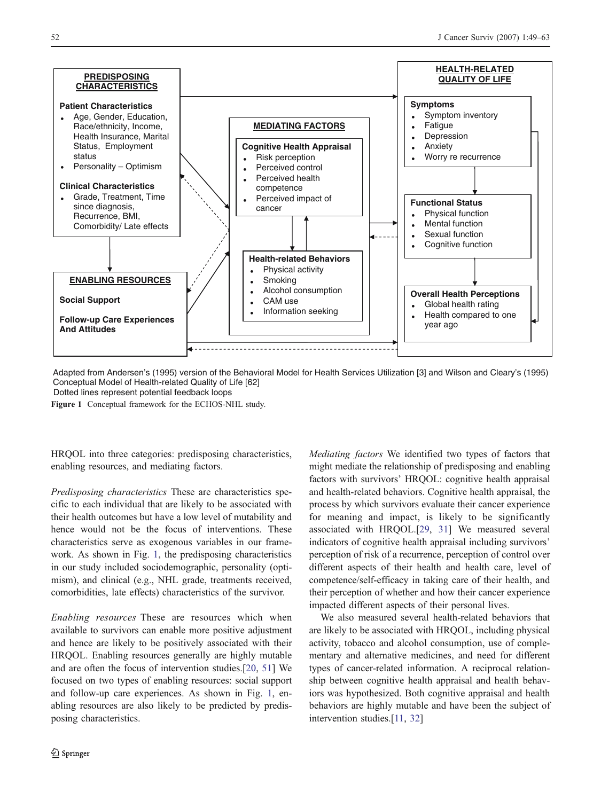<span id="page-3-0"></span>

Adapted from Andersen's (1995) version of the Behavioral Model for Health Services Utilization [3] and Wilson and Cleary's (1995) Conceptual Model of Health-related Quality of Life [62] Dotted lines represent potential feedback loops

Figure 1 Conceptual framework for the ECHOS-NHL study.

HRQOL into three categories: predisposing characteristics, enabling resources, and mediating factors.

Predisposing characteristics These are characteristics specific to each individual that are likely to be associated with their health outcomes but have a low level of mutability and hence would not be the focus of interventions. These characteristics serve as exogenous variables in our framework. As shown in Fig. 1, the predisposing characteristics in our study included sociodemographic, personality (optimism), and clinical (e.g., NHL grade, treatments received, comorbidities, late effects) characteristics of the survivor.

Enabling resources These are resources which when available to survivors can enable more positive adjustment and hence are likely to be positively associated with their HRQOL. Enabling resources generally are highly mutable and are often the focus of intervention studies.[\[20](#page-13-0), [51\]](#page-14-0) We focused on two types of enabling resources: social support and follow-up care experiences. As shown in Fig. 1, enabling resources are also likely to be predicted by predisposing characteristics.

Mediating factors We identified two types of factors that might mediate the relationship of predisposing and enabling factors with survivors' HRQOL: cognitive health appraisal and health-related behaviors. Cognitive health appraisal, the process by which survivors evaluate their cancer experience for meaning and impact, is likely to be significantly associated with HRQOL.[[29](#page-13-0), [31](#page-13-0)] We measured several indicators of cognitive health appraisal including survivors' perception of risk of a recurrence, perception of control over different aspects of their health and health care, level of competence/self-efficacy in taking care of their health, and their perception of whether and how their cancer experience impacted different aspects of their personal lives.

We also measured several health-related behaviors that are likely to be associated with HRQOL, including physical activity, tobacco and alcohol consumption, use of complementary and alternative medicines, and need for different types of cancer-related information. A reciprocal relationship between cognitive health appraisal and health behaviors was hypothesized. Both cognitive appraisal and health behaviors are highly mutable and have been the subject of intervention studies.[[11](#page-13-0), [32](#page-13-0)]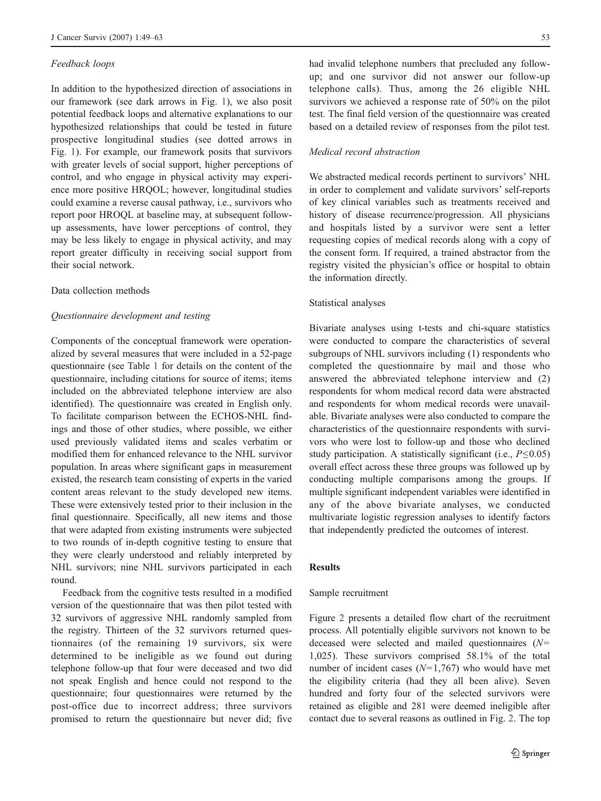#### Feedback loops

In addition to the hypothesized direction of associations in our framework (see dark arrows in Fig. [1\)](#page-3-0), we also posit potential feedback loops and alternative explanations to our hypothesized relationships that could be tested in future prospective longitudinal studies (see dotted arrows in Fig. [1\)](#page-3-0). For example, our framework posits that survivors with greater levels of social support, higher perceptions of control, and who engage in physical activity may experience more positive HRQOL; however, longitudinal studies could examine a reverse causal pathway, i.e., survivors who report poor HROQL at baseline may, at subsequent followup assessments, have lower perceptions of control, they may be less likely to engage in physical activity, and may report greater difficulty in receiving social support from their social network.

#### Data collection methods

#### Questionnaire development and testing

Components of the conceptual framework were operationalized by several measures that were included in a 52-page questionnaire (see Table [1](#page-5-0) for details on the content of the questionnaire, including citations for source of items; items included on the abbreviated telephone interview are also identified). The questionnaire was created in English only. To facilitate comparison between the ECHOS-NHL findings and those of other studies, where possible, we either used previously validated items and scales verbatim or modified them for enhanced relevance to the NHL survivor population. In areas where significant gaps in measurement existed, the research team consisting of experts in the varied content areas relevant to the study developed new items. These were extensively tested prior to their inclusion in the final questionnaire. Specifically, all new items and those that were adapted from existing instruments were subjected to two rounds of in-depth cognitive testing to ensure that they were clearly understood and reliably interpreted by NHL survivors; nine NHL survivors participated in each round.

Feedback from the cognitive tests resulted in a modified version of the questionnaire that was then pilot tested with 32 survivors of aggressive NHL randomly sampled from the registry. Thirteen of the 32 survivors returned questionnaires (of the remaining 19 survivors, six were determined to be ineligible as we found out during telephone follow-up that four were deceased and two did not speak English and hence could not respond to the questionnaire; four questionnaires were returned by the post-office due to incorrect address; three survivors promised to return the questionnaire but never did; five

had invalid telephone numbers that precluded any followup; and one survivor did not answer our follow-up telephone calls). Thus, among the 26 eligible NHL survivors we achieved a response rate of 50% on the pilot test. The final field version of the questionnaire was created based on a detailed review of responses from the pilot test.

#### Medical record abstraction

We abstracted medical records pertinent to survivors' NHL in order to complement and validate survivors' self-reports of key clinical variables such as treatments received and history of disease recurrence/progression. All physicians and hospitals listed by a survivor were sent a letter requesting copies of medical records along with a copy of the consent form. If required, a trained abstractor from the registry visited the physician's office or hospital to obtain the information directly.

#### Statistical analyses

Bivariate analyses using t-tests and chi-square statistics were conducted to compare the characteristics of several subgroups of NHL survivors including (1) respondents who completed the questionnaire by mail and those who answered the abbreviated telephone interview and (2) respondents for whom medical record data were abstracted and respondents for whom medical records were unavailable. Bivariate analyses were also conducted to compare the characteristics of the questionnaire respondents with survivors who were lost to follow-up and those who declined study participation. A statistically significant (i.e.,  $P \le 0.05$ ) overall effect across these three groups was followed up by conducting multiple comparisons among the groups. If multiple significant independent variables were identified in any of the above bivariate analyses, we conducted multivariate logistic regression analyses to identify factors that independently predicted the outcomes of interest.

#### Results

# Sample recruitment

Figure [2](#page-7-0) presents a detailed flow chart of the recruitment process. All potentially eligible survivors not known to be deceased were selected and mailed questionnaires  $(N=$ 1,025). These survivors comprised 58.1% of the total number of incident cases  $(N=1,767)$  who would have met the eligibility criteria (had they all been alive). Seven hundred and forty four of the selected survivors were retained as eligible and 281 were deemed ineligible after contact due to several reasons as outlined in Fig. [2.](#page-7-0) The top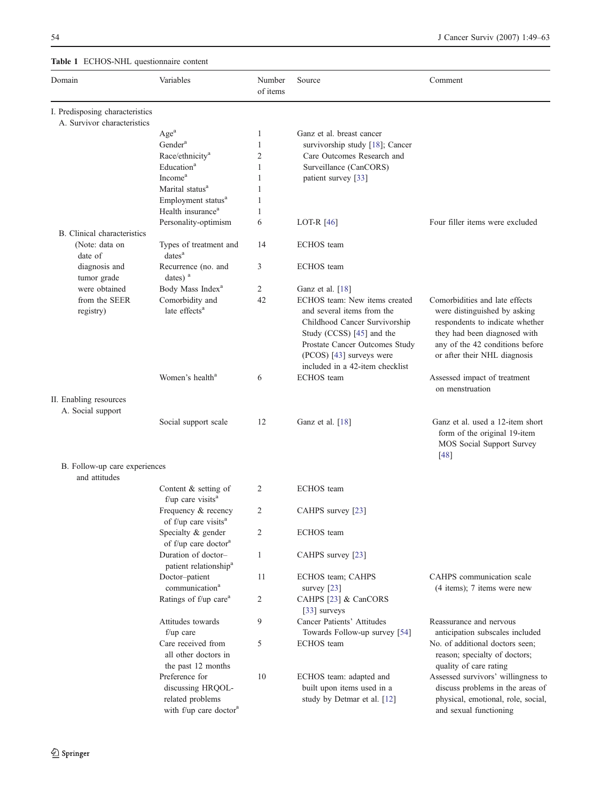# <span id="page-5-0"></span>Table 1 ECHOS-NHL questionnaire content

| Domain                                         | Variables                                                                                     | Number<br>of items | Source                                                                                                                                                                                                                     | Comment                                                                                                                                                                                              |
|------------------------------------------------|-----------------------------------------------------------------------------------------------|--------------------|----------------------------------------------------------------------------------------------------------------------------------------------------------------------------------------------------------------------------|------------------------------------------------------------------------------------------------------------------------------------------------------------------------------------------------------|
| I. Predisposing characteristics                |                                                                                               |                    |                                                                                                                                                                                                                            |                                                                                                                                                                                                      |
| A. Survivor characteristics                    |                                                                                               |                    | Ganz et al. breast cancer                                                                                                                                                                                                  |                                                                                                                                                                                                      |
|                                                | Age <sup>a</sup><br>Gender <sup>a</sup>                                                       | 1<br>1             | survivorship study [18]; Cancer                                                                                                                                                                                            |                                                                                                                                                                                                      |
|                                                | Race/ethnicity <sup>a</sup>                                                                   | $\overline{2}$     | Care Outcomes Research and                                                                                                                                                                                                 |                                                                                                                                                                                                      |
|                                                | Education <sup>a</sup>                                                                        | $\mathbf{1}$       | Surveillance (CanCORS)                                                                                                                                                                                                     |                                                                                                                                                                                                      |
|                                                | Income <sup>a</sup>                                                                           | 1                  | patient survey [33]                                                                                                                                                                                                        |                                                                                                                                                                                                      |
|                                                | Marital status <sup>a</sup>                                                                   | 1                  |                                                                                                                                                                                                                            |                                                                                                                                                                                                      |
|                                                | Employment status <sup>a</sup>                                                                | 1                  |                                                                                                                                                                                                                            |                                                                                                                                                                                                      |
|                                                | Health insurance <sup>a</sup>                                                                 | 1                  |                                                                                                                                                                                                                            |                                                                                                                                                                                                      |
|                                                | Personality-optimism                                                                          | 6                  | LOT-R $[46]$                                                                                                                                                                                                               | Four filler items were excluded                                                                                                                                                                      |
| B. Clinical characteristics                    |                                                                                               |                    |                                                                                                                                                                                                                            |                                                                                                                                                                                                      |
| (Note: data on<br>date of                      | Types of treatment and<br>dates <sup>a</sup>                                                  | 14                 | <b>ECHOS</b> team                                                                                                                                                                                                          |                                                                                                                                                                                                      |
| diagnosis and<br>tumor grade                   | Recurrence (no. and<br>dates) <sup>a</sup>                                                    | 3                  | <b>ECHOS</b> team                                                                                                                                                                                                          |                                                                                                                                                                                                      |
| were obtained                                  | Body Mass Index <sup>a</sup>                                                                  | $\overline{2}$     | Ganz et al. [18]                                                                                                                                                                                                           |                                                                                                                                                                                                      |
| from the SEER<br>registry)                     | Comorbidity and<br>late effects <sup>a</sup>                                                  | 42                 | ECHOS team: New items created<br>and several items from the<br>Childhood Cancer Survivorship<br>Study (CCSS) [45] and the<br>Prostate Cancer Outcomes Study<br>(PCOS) [43] surveys were<br>included in a 42-item checklist | Comorbidities and late effects<br>were distinguished by asking<br>respondents to indicate whether<br>they had been diagnosed with<br>any of the 42 conditions before<br>or after their NHL diagnosis |
|                                                | Women's health <sup>a</sup>                                                                   | 6                  | <b>ECHOS</b> team                                                                                                                                                                                                          | Assessed impact of treatment<br>on menstruation                                                                                                                                                      |
| II. Enabling resources<br>A. Social support    |                                                                                               |                    |                                                                                                                                                                                                                            |                                                                                                                                                                                                      |
|                                                | Social support scale                                                                          | 12                 | Ganz et al. [18]                                                                                                                                                                                                           | Ganz et al. used a 12-item short<br>form of the original 19-item<br>MOS Social Support Survey<br>$[48]$                                                                                              |
| B. Follow-up care experiences<br>and attitudes |                                                                                               |                    |                                                                                                                                                                                                                            |                                                                                                                                                                                                      |
|                                                | Content $&$ setting of<br>$f$ /up care visits <sup>a</sup>                                    | 2                  | <b>ECHOS</b> team                                                                                                                                                                                                          |                                                                                                                                                                                                      |
|                                                | Frequency & recency<br>of f/up care visits <sup>a</sup>                                       | 2                  | CAHPS survey [23]                                                                                                                                                                                                          |                                                                                                                                                                                                      |
|                                                | Specialty & gender<br>of f/up care doctor <sup>a</sup>                                        | 2                  | ECHOS team                                                                                                                                                                                                                 |                                                                                                                                                                                                      |
|                                                | Duration of doctor-<br>patient relationship <sup>a</sup>                                      | $\mathbf{1}$       | CAHPS survey [23]                                                                                                                                                                                                          |                                                                                                                                                                                                      |
|                                                | Doctor-patient<br>communication <sup>a</sup>                                                  | 11                 | ECHOS team; CAHPS<br>survey $[23]$                                                                                                                                                                                         | CAHPS communication scale<br>$(4$ items); 7 items were new                                                                                                                                           |
|                                                | Ratings of f/up care <sup>a</sup>                                                             | 2                  | CAHPS [23] & CanCORS<br>[33] surveys                                                                                                                                                                                       |                                                                                                                                                                                                      |
|                                                | Attitudes towards<br>$f/\psi$ care                                                            | 9                  | Cancer Patients' Attitudes<br>Towards Follow-up survey [54]                                                                                                                                                                | Reassurance and nervous<br>anticipation subscales included                                                                                                                                           |
|                                                | Care received from<br>all other doctors in<br>the past 12 months                              | 5                  | <b>ECHOS</b> team                                                                                                                                                                                                          | No. of additional doctors seen;<br>reason; specialty of doctors;<br>quality of care rating                                                                                                           |
|                                                | Preference for<br>discussing HRQOL-<br>related problems<br>with f/up care doctor <sup>a</sup> | 10                 | ECHOS team: adapted and<br>built upon items used in a<br>study by Detmar et al. [12]                                                                                                                                       | Assessed survivors' willingness to<br>discuss problems in the areas of<br>physical, emotional, role, social,<br>and sexual functioning                                                               |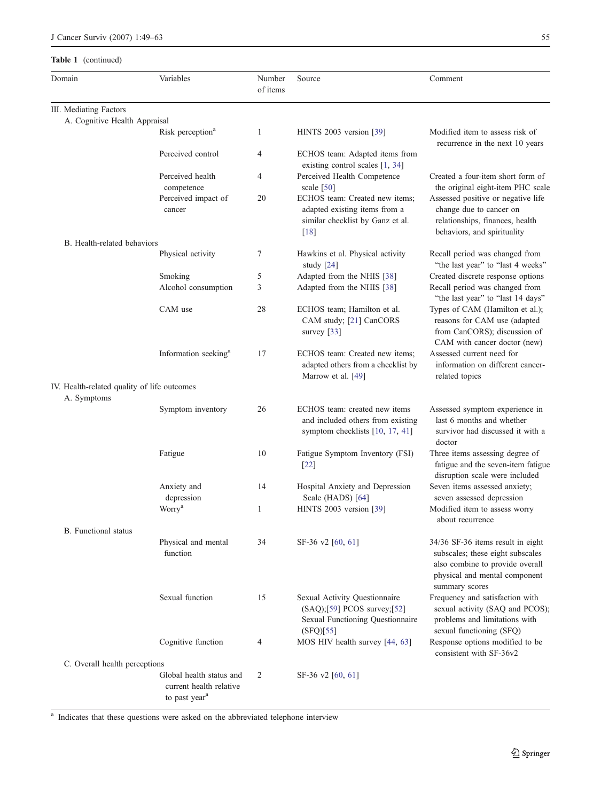# Table 1 (continued)

| Domain                                      | Variables                                                                        | Number<br>of items | Source                                                                                                        | Comment                                                                                                                                                     |
|---------------------------------------------|----------------------------------------------------------------------------------|--------------------|---------------------------------------------------------------------------------------------------------------|-------------------------------------------------------------------------------------------------------------------------------------------------------------|
| III. Mediating Factors                      |                                                                                  |                    |                                                                                                               |                                                                                                                                                             |
| A. Cognitive Health Appraisal               |                                                                                  |                    |                                                                                                               |                                                                                                                                                             |
|                                             | Risk perception <sup>a</sup>                                                     | 1                  | HINTS 2003 version [39]                                                                                       | Modified item to assess risk of<br>recurrence in the next 10 years                                                                                          |
|                                             | Perceived control                                                                | 4                  | ECHOS team: Adapted items from<br>existing control scales [1, 34]                                             |                                                                                                                                                             |
|                                             | Perceived health<br>competence                                                   | 4                  | Perceived Health Competence<br>scale $[50]$                                                                   | Created a four-item short form of<br>the original eight-item PHC scale                                                                                      |
|                                             | Perceived impact of<br>cancer                                                    | 20                 | ECHOS team: Created new items;<br>adapted existing items from a<br>similar checklist by Ganz et al.<br>$[18]$ | Assessed positive or negative life<br>change due to cancer on<br>relationships, finances, health<br>behaviors, and spirituality                             |
| B. Health-related behaviors                 |                                                                                  |                    |                                                                                                               |                                                                                                                                                             |
|                                             | Physical activity                                                                | 7                  | Hawkins et al. Physical activity<br>study $[24]$                                                              | Recall period was changed from<br>"the last year" to "last 4 weeks"                                                                                         |
|                                             | Smoking                                                                          | 5                  | Adapted from the NHIS [38]                                                                                    | Created discrete response options                                                                                                                           |
|                                             | Alcohol consumption                                                              | 3                  | Adapted from the NHIS [38]                                                                                    | Recall period was changed from<br>"the last year" to "last 14 days"                                                                                         |
|                                             | CAM use                                                                          | 28                 | ECHOS team; Hamilton et al.<br>CAM study; [21] CanCORS<br>survey $[33]$                                       | Types of CAM (Hamilton et al.);<br>reasons for CAM use (adapted<br>from CanCORS); discussion of<br>CAM with cancer doctor (new)                             |
|                                             | Information seeking <sup>a</sup>                                                 | 17                 | ECHOS team: Created new items;<br>adapted others from a checklist by<br>Marrow et al. [49]                    | Assessed current need for<br>information on different cancer-<br>related topics                                                                             |
| IV. Health-related quality of life outcomes |                                                                                  |                    |                                                                                                               |                                                                                                                                                             |
| A. Symptoms                                 |                                                                                  |                    |                                                                                                               |                                                                                                                                                             |
|                                             | Symptom inventory                                                                | 26                 | ECHOS team: created new items<br>and included others from existing<br>symptom checklists [10, 17, 41]         | Assessed symptom experience in<br>last 6 months and whether<br>survivor had discussed it with a<br>doctor                                                   |
|                                             | Fatigue                                                                          | 10                 | Fatigue Symptom Inventory (FSI)<br>$[22]$                                                                     | Three items assessing degree of<br>fatigue and the seven-item fatigue<br>disruption scale were included                                                     |
|                                             | Anxiety and<br>depression                                                        | 14                 | Hospital Anxiety and Depression<br>Scale (HADS) [64]                                                          | Seven items assessed anxiety;<br>seven assessed depression                                                                                                  |
|                                             | Worry <sup>a</sup>                                                               | 1                  | HINTS 2003 version [39]                                                                                       | Modified item to assess worry<br>about recurrence                                                                                                           |
| <b>B.</b> Functional status                 |                                                                                  |                    |                                                                                                               |                                                                                                                                                             |
|                                             | Physical and mental<br>function                                                  | 34                 | SF-36 v2 [60, 61]                                                                                             | 34/36 SF-36 items result in eight<br>subscales; these eight subscales<br>also combine to provide overall<br>physical and mental component<br>summary scores |
|                                             | Sexual function                                                                  | 15                 | Sexual Activity Questionnaire<br>(SAQ);[59] PCOS survey;[52]<br>Sexual Functioning Questionnaire<br>(SFO)[55] | Frequency and satisfaction with<br>sexual activity (SAQ and PCOS);<br>problems and limitations with<br>sexual functioning (SFQ)                             |
|                                             | Cognitive function                                                               | 4                  | MOS HIV health survey [44, 63]                                                                                | Response options modified to be<br>consistent with SF-36v2                                                                                                  |
| C. Overall health perceptions               |                                                                                  |                    |                                                                                                               |                                                                                                                                                             |
|                                             | Global health status and<br>current health relative<br>to past year <sup>a</sup> | 2                  | SF-36 v2 [60, 61]                                                                                             |                                                                                                                                                             |

<sup>a</sup> Indicates that these questions were asked on the abbreviated telephone interview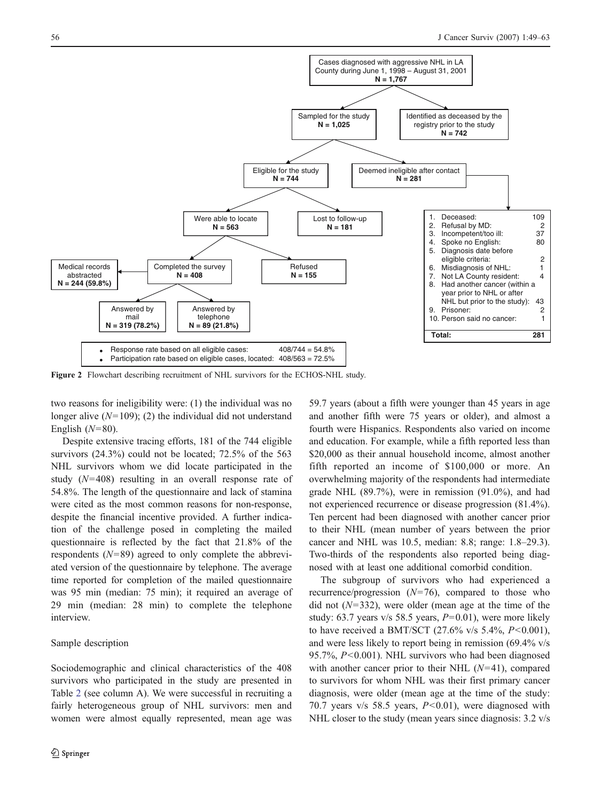<span id="page-7-0"></span>

Figure 2 Flowchart describing recruitment of NHL survivors for the ECHOS-NHL study.

two reasons for ineligibility were: (1) the individual was no longer alive  $(N=109)$ ; (2) the individual did not understand English  $(N=80)$ .

Despite extensive tracing efforts, 181 of the 744 eligible survivors (24.3%) could not be located; 72.5% of the 563 NHL survivors whom we did locate participated in the study (N=408) resulting in an overall response rate of 54.8%. The length of the questionnaire and lack of stamina were cited as the most common reasons for non-response, despite the financial incentive provided. A further indication of the challenge posed in completing the mailed questionnaire is reflected by the fact that 21.8% of the respondents  $(N=89)$  agreed to only complete the abbreviated version of the questionnaire by telephone. The average time reported for completion of the mailed questionnaire was 95 min (median: 75 min); it required an average of 29 min (median: 28 min) to complete the telephone interview.

#### Sample description

Sociodemographic and clinical characteristics of the 408 survivors who participated in the study are presented in Table [2](#page-8-0) (see column A). We were successful in recruiting a fairly heterogeneous group of NHL survivors: men and women were almost equally represented, mean age was 59.7 years (about a fifth were younger than 45 years in age and another fifth were 75 years or older), and almost a fourth were Hispanics. Respondents also varied on income and education. For example, while a fifth reported less than \$20,000 as their annual household income, almost another fifth reported an income of \$100,000 or more. An overwhelming majority of the respondents had intermediate grade NHL (89.7%), were in remission (91.0%), and had not experienced recurrence or disease progression (81.4%). Ten percent had been diagnosed with another cancer prior to their NHL (mean number of years between the prior cancer and NHL was 10.5, median: 8.8; range: 1.8–29.3). Two-thirds of the respondents also reported being diagnosed with at least one additional comorbid condition.

The subgroup of survivors who had experienced a recurrence/progression  $(N=76)$ , compared to those who did not  $(N=332)$ , were older (mean age at the time of the study: 63.7 years  $v/s$  58.5 years,  $P=0.01$ ), were more likely to have received a BMT/SCT  $(27.6\% \text{ v/s } 5.4\%, P<0.001)$ , and were less likely to report being in remission (69.4% v/s 95.7%,  $P<0.001$ ). NHL survivors who had been diagnosed with another cancer prior to their NHL  $(N=41)$ , compared to survivors for whom NHL was their first primary cancer diagnosis, were older (mean age at the time of the study: 70.7 years  $v/s$  58.5 years,  $P < 0.01$ ), were diagnosed with NHL closer to the study (mean years since diagnosis: 3.2 v/s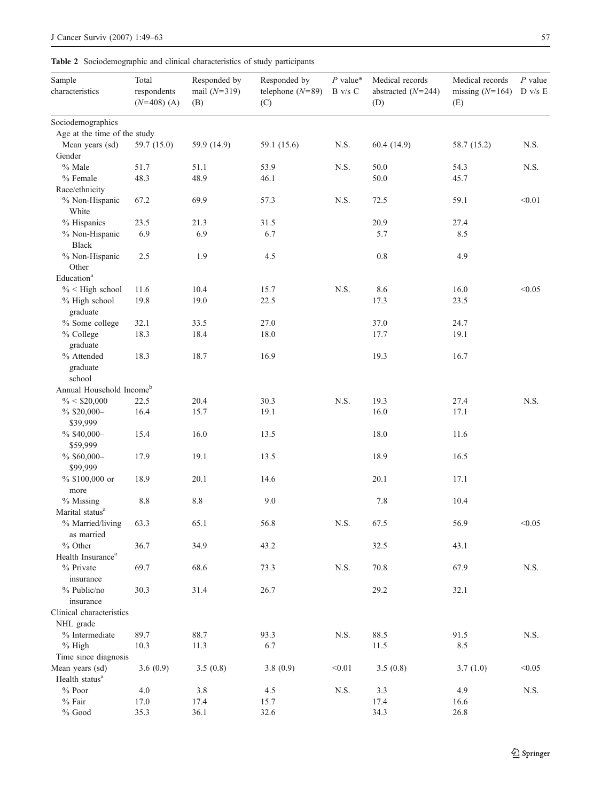<span id="page-8-0"></span>Table 2 Sociodemographic and clinical characteristics of study participants

| Sample<br>characteristics                  | Total<br>respondents<br>$(N=408)$ (A) | Responded by<br>mail $(N=319)$<br>(B) | Responded by<br>telephone $(N=89)$<br>(C) | $P$ value*<br>B v/s C | Medical records<br>abstracted $(N=244)$<br>(D) | Medical records<br>missing $(N=164)$<br>(E) | $P$ value<br>D v/s E |
|--------------------------------------------|---------------------------------------|---------------------------------------|-------------------------------------------|-----------------------|------------------------------------------------|---------------------------------------------|----------------------|
| Sociodemographics                          |                                       |                                       |                                           |                       |                                                |                                             |                      |
| Age at the time of the study               |                                       |                                       |                                           |                       |                                                |                                             |                      |
| Mean years (sd)                            | 59.7 (15.0)                           | 59.9 (14.9)                           | 59.1 (15.6)                               | N.S.                  | 60.4 (14.9)                                    | 58.7 (15.2)                                 | N.S.                 |
| Gender                                     |                                       |                                       |                                           |                       |                                                |                                             |                      |
| % Male                                     | 51.7                                  | 51.1                                  | 53.9                                      | N.S.                  | 50.0                                           | 54.3                                        | N.S.                 |
| % Female                                   | 48.3                                  | 48.9                                  | 46.1                                      |                       | 50.0                                           | 45.7                                        |                      |
| Race/ethnicity                             |                                       |                                       |                                           |                       |                                                |                                             |                      |
| % Non-Hispanic<br>White                    | 67.2                                  | 69.9                                  | 57.3                                      | N.S.                  | 72.5                                           | 59.1                                        | < 0.01               |
| % Hispanics                                | 23.5                                  | 21.3                                  | 31.5                                      |                       | 20.9                                           | 27.4                                        |                      |
| % Non-Hispanic<br><b>Black</b>             | 6.9                                   | 6.9                                   | 6.7                                       |                       | 5.7                                            | 8.5                                         |                      |
| % Non-Hispanic<br>Other                    | 2.5                                   | 1.9                                   | 4.5                                       |                       | 0.8                                            | 4.9                                         |                      |
| Education <sup>a</sup>                     |                                       |                                       |                                           |                       |                                                |                                             |                      |
| $\%$ < High school                         | 11.6                                  | 10.4                                  | 15.7                                      | N.S.                  | 8.6                                            | 16.0                                        | < 0.05               |
| % High school<br>graduate                  | 19.8                                  | 19.0                                  | 22.5                                      |                       | 17.3                                           | 23.5                                        |                      |
| % Some college                             | 32.1                                  | 33.5                                  | 27.0                                      |                       | 37.0                                           | 24.7                                        |                      |
| % College                                  | 18.3                                  | 18.4                                  | 18.0                                      |                       | 17.7                                           | 19.1                                        |                      |
| graduate                                   |                                       |                                       |                                           |                       |                                                |                                             |                      |
| % Attended<br>graduate                     | 18.3                                  | 18.7                                  | 16.9                                      |                       | 19.3                                           | 16.7                                        |                      |
| school                                     |                                       |                                       |                                           |                       |                                                |                                             |                      |
| Annual Household Incomeb                   |                                       |                                       |                                           |                       |                                                |                                             |                      |
| $\% < $20,000$                             | 22.5                                  | 20.4                                  | 30.3                                      | N.S.                  | 19.3                                           | 27.4                                        | N.S.                 |
| $%$ \$20,000-<br>\$39,999                  | 16.4                                  | 15.7                                  | 19.1                                      |                       | 16.0                                           | 17.1                                        |                      |
| % \$40,000-<br>\$59,999                    | 15.4                                  | 16.0                                  | 13.5                                      |                       | 18.0                                           | 11.6                                        |                      |
| % \$60,000-<br>\$99,999                    | 17.9                                  | 19.1                                  | 13.5                                      |                       | 18.9                                           | 16.5                                        |                      |
| % \$100,000 or                             | 18.9                                  | 20.1                                  | 14.6                                      |                       | 20.1                                           | 17.1                                        |                      |
| more                                       |                                       |                                       |                                           |                       |                                                |                                             |                      |
| % Missing                                  | $8.8\,$                               | $8.8\,$                               | 9.0                                       |                       | 7.8                                            | 10.4                                        |                      |
| Marital status <sup>a</sup>                |                                       |                                       |                                           |                       |                                                |                                             |                      |
| % Married/living<br>as married             | 63.3                                  | 65.1                                  | 56.8                                      | N.S.                  | 67.5                                           | 56.9                                        | < 0.05               |
| $%$ Other<br>Health Insurance <sup>a</sup> | 36.7                                  | 34.9                                  | 43.2                                      |                       | 32.5                                           | 43.1                                        |                      |
| % Private<br>insurance                     | 69.7                                  | 68.6                                  | 73.3                                      | N.S.                  | 70.8                                           | 67.9                                        | N.S.                 |
| % Public/no<br>insurance                   | 30.3                                  | 31.4                                  | 26.7                                      |                       | 29.2                                           | 32.1                                        |                      |
| Clinical characteristics                   |                                       |                                       |                                           |                       |                                                |                                             |                      |
| NHL grade                                  |                                       |                                       |                                           |                       |                                                |                                             |                      |
| % Intermediate                             | 89.7                                  | 88.7                                  | 93.3                                      | N.S.                  | 88.5                                           | 91.5                                        | N.S.                 |
| $%$ High                                   | 10.3                                  | 11.3                                  | 6.7                                       |                       | 11.5                                           | 8.5                                         |                      |
| Time since diagnosis                       |                                       |                                       |                                           |                       |                                                |                                             |                      |
| Mean years (sd)                            | 3.6(0.9)                              | 3.5(0.8)                              | 3.8(0.9)                                  | < 0.01                | 3.5(0.8)                                       | 3.7(1.0)                                    | < 0.05               |
| Health status <sup>a</sup>                 |                                       |                                       |                                           |                       |                                                |                                             |                      |
| $\%$ Poor                                  | 4.0                                   | $3.8\,$                               | 4.5                                       | $N.S.$                | 3.3                                            | 4.9                                         | N.S.                 |
| $\%$ Fair                                  | 17.0                                  | 17.4                                  | 15.7                                      |                       | 17.4                                           | 16.6                                        |                      |
| $\%$ Good                                  | 35.3                                  | 36.1                                  | 32.6                                      |                       | 34.3                                           | 26.8                                        |                      |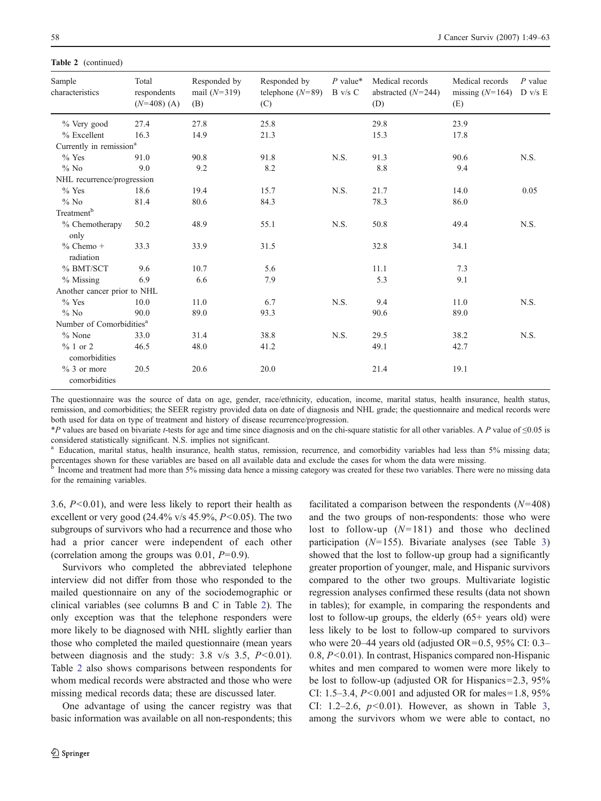#### Table 2 (continued)

| Sample<br>characteristics            | Total<br>respondents<br>$(N=408)$ (A) | Responded by<br>mail $(N=319)$<br>(B) | Responded by<br>telephone $(N=89)$<br>(C) | $P$ value*<br>$B$ v/s $C$ | Medical records<br>abstracted $(N=244)$<br>(D) | Medical records<br>missing $(N=164)$ D v/s E<br>(E) | $P$ value |
|--------------------------------------|---------------------------------------|---------------------------------------|-------------------------------------------|---------------------------|------------------------------------------------|-----------------------------------------------------|-----------|
| $\%$ Very good                       | 27.4                                  | 27.8                                  | 25.8                                      |                           | 29.8                                           | 23.9                                                |           |
| $%$ Excellent                        | 16.3                                  | 14.9                                  | 21.3                                      |                           | 15.3                                           | 17.8                                                |           |
| Currently in remission <sup>a</sup>  |                                       |                                       |                                           |                           |                                                |                                                     |           |
| $%$ Yes                              | 91.0                                  | 90.8                                  | 91.8                                      | N.S.                      | 91.3                                           | 90.6                                                | N.S.      |
| $\%$ No                              | 9.0                                   | 9.2                                   | 8.2                                       |                           | 8.8                                            | 9.4                                                 |           |
| NHL recurrence/progression           |                                       |                                       |                                           |                           |                                                |                                                     |           |
| $%$ Yes                              | 18.6                                  | 19.4                                  | 15.7                                      | N.S.                      | 21.7                                           | 14.0                                                | 0.05      |
| $%$ No                               | 81.4                                  | 80.6                                  | 84.3                                      |                           | 78.3                                           | 86.0                                                |           |
| Treatment <sup>b</sup>               |                                       |                                       |                                           |                           |                                                |                                                     |           |
| % Chemotherapy<br>only               | 50.2                                  | 48.9                                  | 55.1                                      | N.S.                      | 50.8                                           | 49.4                                                | N.S.      |
| $%$ Chemo $+$<br>radiation           | 33.3                                  | 33.9                                  | 31.5                                      |                           | 32.8                                           | 34.1                                                |           |
| % BMT/SCT                            | 9.6                                   | 10.7                                  | 5.6                                       |                           | 11.1                                           | 7.3                                                 |           |
| % Missing                            | 6.9                                   | 6.6                                   | 7.9                                       |                           | 5.3                                            | 9.1                                                 |           |
| Another cancer prior to NHL          |                                       |                                       |                                           |                           |                                                |                                                     |           |
| $%$ Yes                              | 10.0                                  | 11.0                                  | 6.7                                       | N.S.                      | 9.4                                            | 11.0                                                | N.S.      |
| $\%$ No                              | 90.0                                  | 89.0                                  | 93.3                                      |                           | 90.6                                           | 89.0                                                |           |
| Number of Comorbidities <sup>a</sup> |                                       |                                       |                                           |                           |                                                |                                                     |           |
| $%$ None                             | 33.0                                  | 31.4                                  | 38.8                                      | N.S.                      | 29.5                                           | 38.2                                                | N.S.      |
| $% 1$ or 2<br>comorbidities          | 46.5                                  | 48.0                                  | 41.2                                      |                           | 49.1                                           | 42.7                                                |           |
| $\%$ 3 or more<br>comorbidities      | 20.5                                  | 20.6                                  | 20.0                                      |                           | 21.4                                           | 19.1                                                |           |

The questionnaire was the source of data on age, gender, race/ethnicity, education, income, marital status, health insurance, health status, remission, and comorbidities; the SEER registry provided data on date of diagnosis and NHL grade; the questionnaire and medical records were both used for data on type of treatment and history of disease recurrence/progression.

\*P values are based on bivariate t-tests for age and time since diagnosis and on the chi-square statistic for all other variables. A P value of ≤0.05 is considered statistically significant. N.S. implies not significant.

 <sup>a</sup> Education, marital status, health insurance, health status, remission, recurrence, and comorbidity variables had less than 5% missing data; percentages shown for these variables are based on all available data and exclude the cases for whom the data were missing.

 <sup>b</sup> Income and treatment had more than 5% missing data hence <sup>a</sup> missing category was created for these two variables. There were no missing data for the remaining variables.

3.6, P<0.01), and were less likely to report their health as excellent or very good  $(24.4\% \text{ v/s } 45.9\%, P<0.05)$ . The two subgroups of survivors who had a recurrence and those who had a prior cancer were independent of each other (correlation among the groups was  $0.01$ ,  $P=0.9$ ).

Survivors who completed the abbreviated telephone interview did not differ from those who responded to the mailed questionnaire on any of the sociodemographic or clinical variables (see columns B and C in Table [2](#page-8-0)). The only exception was that the telephone responders were more likely to be diagnosed with NHL slightly earlier than those who completed the mailed questionnaire (mean years between diagnosis and the study: 3.8 v/s 3.5,  $P<0.01$ ). Table [2](#page-8-0) also shows comparisons between respondents for whom medical records were abstracted and those who were missing medical records data; these are discussed later.

One advantage of using the cancer registry was that basic information was available on all non-respondents; this

facilitated a comparison between the respondents  $(N=408)$ and the two groups of non-respondents: those who were lost to follow-up  $(N=181)$  and those who declined participation  $(N=155)$ . Bivariate analyses (see Table [3](#page-10-0)) showed that the lost to follow-up group had a significantly greater proportion of younger, male, and Hispanic survivors compared to the other two groups. Multivariate logistic regression analyses confirmed these results (data not shown in tables); for example, in comparing the respondents and lost to follow-up groups, the elderly (65+ years old) were less likely to be lost to follow-up compared to survivors who were  $20-44$  years old (adjusted OR=0.5, 95% CI: 0.3– 0.8, P<0.01). In contrast, Hispanics compared non-Hispanic whites and men compared to women were more likely to be lost to follow-up (adjusted OR for Hispanics=2.3, 95% CI: 1.5–3.4,  $P < 0.001$  and adjusted OR for males=1.8, 95% CI: 1.2–2.6,  $p<0.01$ ). However, as shown in Table [3](#page-10-0), among the survivors whom we were able to contact, no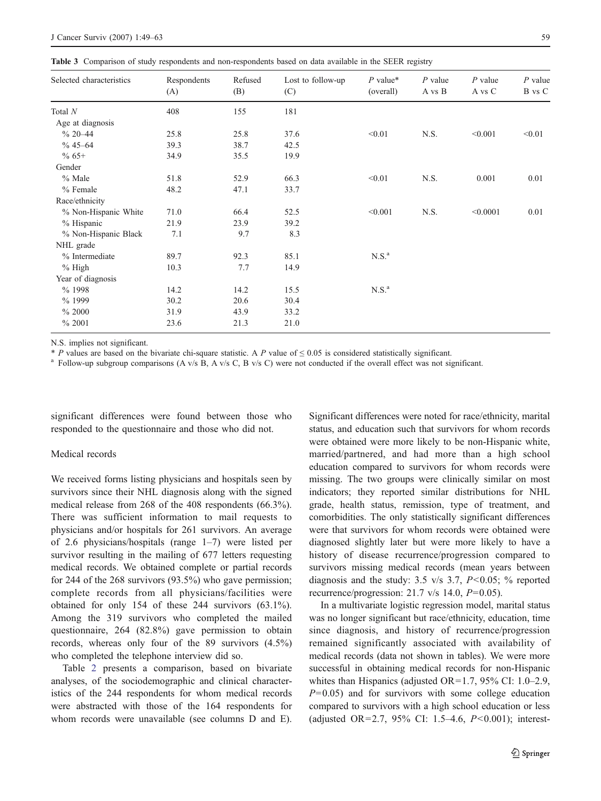<span id="page-10-0"></span>Table 3 Comparison of study respondents and non-respondents based on data available in the SEER registry

| Selected characteristics | Respondents<br>(A) | Refused<br>(B) | Lost to follow-up<br>(C) | $P$ value*<br>(overall) | $P$ value<br>A vs B | $P$ value<br>A vs C | $P$ value<br>B vs C |
|--------------------------|--------------------|----------------|--------------------------|-------------------------|---------------------|---------------------|---------------------|
| Total $N$                | 408                | 155            | 181                      |                         |                     |                     |                     |
| Age at diagnosis         |                    |                |                          |                         |                     |                     |                     |
| $% 20 - 44$              | 25.8               | 25.8           | 37.6                     | < 0.01                  | N.S.                | < 0.001             | < 0.01              |
| $% 45 - 64$              | 39.3               | 38.7           | 42.5                     |                         |                     |                     |                     |
| $% 65+$                  | 34.9               | 35.5           | 19.9                     |                         |                     |                     |                     |
| Gender                   |                    |                |                          |                         |                     |                     |                     |
| % Male                   | 51.8               | 52.9           | 66.3                     | < 0.01                  | N.S.                | 0.001               | 0.01                |
| % Female                 | 48.2               | 47.1           | 33.7                     |                         |                     |                     |                     |
| Race/ethnicity           |                    |                |                          |                         |                     |                     |                     |
| % Non-Hispanic White     | 71.0               | 66.4           | 52.5                     | < 0.001                 | N.S.                | < 0.0001            | 0.01                |
| % Hispanic               | 21.9               | 23.9           | 39.2                     |                         |                     |                     |                     |
| % Non-Hispanic Black     | 7.1                | 9.7            | 8.3                      |                         |                     |                     |                     |
| NHL grade                |                    |                |                          |                         |                     |                     |                     |
| % Intermediate           | 89.7               | 92.3           | 85.1                     | N.S. <sup>a</sup>       |                     |                     |                     |
| $%$ High                 | 10.3               | 7.7            | 14.9                     |                         |                     |                     |                     |
| Year of diagnosis        |                    |                |                          |                         |                     |                     |                     |
| % 1998                   | 14.2               | 14.2           | 15.5                     | N.S. <sup>a</sup>       |                     |                     |                     |
| % 1999                   | 30.2               | 20.6           | 30.4                     |                         |                     |                     |                     |
| % 2000                   | 31.9               | 43.9           | 33.2                     |                         |                     |                     |                     |
| % 2001                   | 23.6               | 21.3           | 21.0                     |                         |                     |                     |                     |

N.S. implies not significant.

\* P values are based on the bivariate chi-square statistic. A P value of  $\leq 0.05$  is considered statistically significant.<br><sup>a</sup> Follow-up subgroup comparisons (A v/s B, A v/s C, B v/s C) were not conducted if the overall

significant differences were found between those who responded to the questionnaire and those who did not.

#### Medical records

We received forms listing physicians and hospitals seen by survivors since their NHL diagnosis along with the signed medical release from 268 of the 408 respondents (66.3%). There was sufficient information to mail requests to physicians and/or hospitals for 261 survivors. An average of 2.6 physicians/hospitals (range 1–7) were listed per survivor resulting in the mailing of 677 letters requesting medical records. We obtained complete or partial records for 244 of the 268 survivors (93.5%) who gave permission; complete records from all physicians/facilities were obtained for only 154 of these 244 survivors (63.1%). Among the 319 survivors who completed the mailed questionnaire, 264 (82.8%) gave permission to obtain records, whereas only four of the 89 survivors (4.5%) who completed the telephone interview did so.

Table [2](#page-8-0) presents a comparison, based on bivariate analyses, of the sociodemographic and clinical characteristics of the 244 respondents for whom medical records were abstracted with those of the 164 respondents for whom records were unavailable (see columns D and E). Significant differences were noted for race/ethnicity, marital status, and education such that survivors for whom records were obtained were more likely to be non-Hispanic white, married/partnered, and had more than a high school education compared to survivors for whom records were missing. The two groups were clinically similar on most indicators; they reported similar distributions for NHL grade, health status, remission, type of treatment, and comorbidities. The only statistically significant differences were that survivors for whom records were obtained were diagnosed slightly later but were more likely to have a history of disease recurrence/progression compared to survivors missing medical records (mean years between diagnosis and the study: 3.5 v/s 3.7,  $P<0.05$ ; % reported recurrence/progression:  $21.7 \text{ v/s } 14.0, P=0.05$ ).

In a multivariate logistic regression model, marital status was no longer significant but race/ethnicity, education, time since diagnosis, and history of recurrence/progression remained significantly associated with availability of medical records (data not shown in tables). We were more successful in obtaining medical records for non-Hispanic whites than Hispanics (adjusted OR=1.7, 95% CI: 1.0–2.9,  $P=0.05$ ) and for survivors with some college education compared to survivors with a high school education or less (adjusted OR=2.7, 95% CI: 1.5–4.6,  $P < 0.001$ ); interest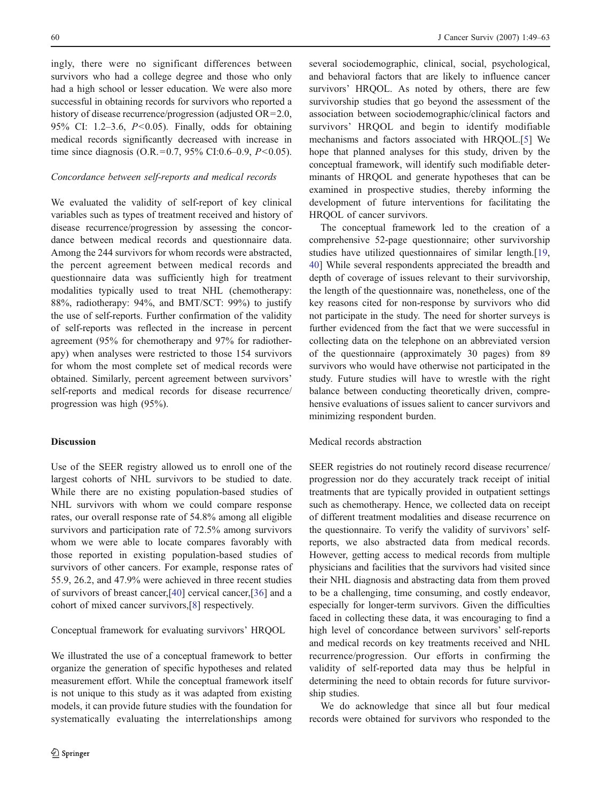ingly, there were no significant differences between survivors who had a college degree and those who only had a high school or lesser education. We were also more successful in obtaining records for survivors who reported a history of disease recurrence/progression (adjusted OR=2.0, 95% CI: 1.2–3.6, P<0.05). Finally, odds for obtaining medical records significantly decreased with increase in time since diagnosis (O.R.=0.7, 95% CI:0.6–0.9,  $P < 0.05$ ).

## Concordance between self-reports and medical records

We evaluated the validity of self-report of key clinical variables such as types of treatment received and history of disease recurrence/progression by assessing the concordance between medical records and questionnaire data. Among the 244 survivors for whom records were abstracted, the percent agreement between medical records and questionnaire data was sufficiently high for treatment modalities typically used to treat NHL (chemotherapy: 88%, radiotherapy: 94%, and BMT/SCT: 99%) to justify the use of self-reports. Further confirmation of the validity of self-reports was reflected in the increase in percent agreement (95% for chemotherapy and 97% for radiotherapy) when analyses were restricted to those 154 survivors for whom the most complete set of medical records were obtained. Similarly, percent agreement between survivors' self-reports and medical records for disease recurrence/ progression was high (95%).

#### **Discussion**

Use of the SEER registry allowed us to enroll one of the largest cohorts of NHL survivors to be studied to date. While there are no existing population-based studies of NHL survivors with whom we could compare response rates, our overall response rate of 54.8% among all eligible survivors and participation rate of 72.5% among survivors whom we were able to locate compares favorably with those reported in existing population-based studies of survivors of other cancers. For example, response rates of 55.9, 26.2, and 47.9% were achieved in three recent studies of survivors of breast cancer,[[40\]](#page-13-0) cervical cancer,[[36\]](#page-13-0) and a cohort of mixed cancer survivors,[[8](#page-13-0)] respectively.

Conceptual framework for evaluating survivors' HRQOL

We illustrated the use of a conceptual framework to better organize the generation of specific hypotheses and related measurement effort. While the conceptual framework itself is not unique to this study as it was adapted from existing models, it can provide future studies with the foundation for systematically evaluating the interrelationships among

several sociodemographic, clinical, social, psychological, and behavioral factors that are likely to influence cancer survivors' HRQOL. As noted by others, there are few survivorship studies that go beyond the assessment of the association between sociodemographic/clinical factors and survivors' HRQOL and begin to identify modifiable mechanisms and factors associated with HRQOL.[[5\]](#page-12-0) We hope that planned analyses for this study, driven by the conceptual framework, will identify such modifiable determinants of HRQOL and generate hypotheses that can be examined in prospective studies, thereby informing the development of future interventions for facilitating the HRQOL of cancer survivors.

The conceptual framework led to the creation of a comprehensive 52-page questionnaire; other survivorship studies have utilized questionnaires of similar length.[\[19](#page-13-0), [40](#page-13-0)] While several respondents appreciated the breadth and depth of coverage of issues relevant to their survivorship, the length of the questionnaire was, nonetheless, one of the key reasons cited for non-response by survivors who did not participate in the study. The need for shorter surveys is further evidenced from the fact that we were successful in collecting data on the telephone on an abbreviated version of the questionnaire (approximately 30 pages) from 89 survivors who would have otherwise not participated in the study. Future studies will have to wrestle with the right balance between conducting theoretically driven, comprehensive evaluations of issues salient to cancer survivors and minimizing respondent burden.

#### Medical records abstraction

SEER registries do not routinely record disease recurrence/ progression nor do they accurately track receipt of initial treatments that are typically provided in outpatient settings such as chemotherapy. Hence, we collected data on receipt of different treatment modalities and disease recurrence on the questionnaire. To verify the validity of survivors' selfreports, we also abstracted data from medical records. However, getting access to medical records from multiple physicians and facilities that the survivors had visited since their NHL diagnosis and abstracting data from them proved to be a challenging, time consuming, and costly endeavor, especially for longer-term survivors. Given the difficulties faced in collecting these data, it was encouraging to find a high level of concordance between survivors' self-reports and medical records on key treatments received and NHL recurrence/progression. Our efforts in confirming the validity of self-reported data may thus be helpful in determining the need to obtain records for future survivorship studies.

We do acknowledge that since all but four medical records were obtained for survivors who responded to the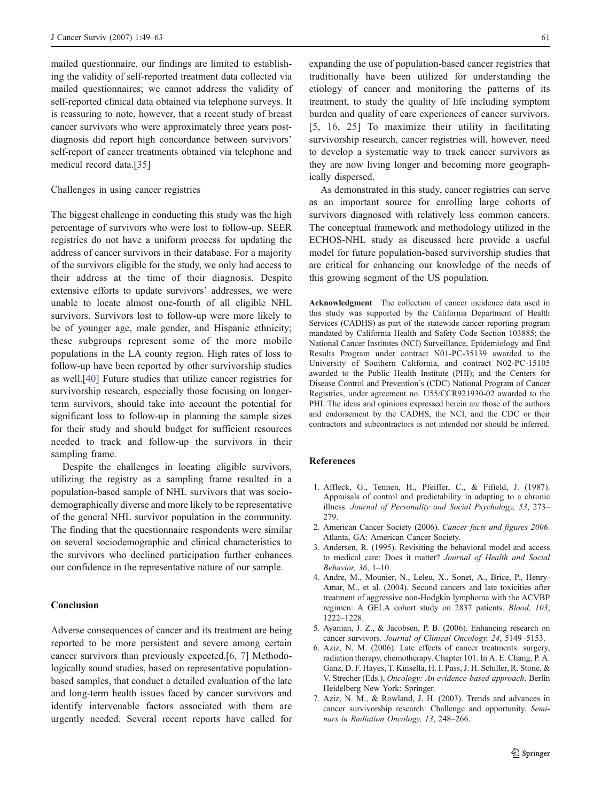<span id="page-12-0"></span>mailed questionnaire, our findings are limited to establishing the validity of self-reported treatment data collected via mailed questionnaires; we cannot address the validity of self-reported clinical data obtained via telephone surveys. It is reassuring to note, however, that a recent study of breast cancer survivors who were approximately three years postdiagnosis did report high concordance between survivors' self-report of cancer treatments obtained via telephone and medical record data.[\[35](#page-13-0)]

# Challenges in using cancer registries

The biggest challenge in conducting this study was the high percentage of survivors who were lost to follow-up. SEER registries do not have a uniform process for updating the address of cancer survivors in their database. For a majority of the survivors eligible for the study, we only had access to their address at the time of their diagnosis. Despite extensive efforts to update survivors' addresses, we were unable to locate almost one-fourth of all eligible NHL survivors. Survivors lost to follow-up were more likely to be of younger age, male gender, and Hispanic ethnicity; these subgroups represent some of the more mobile populations in the LA county region. High rates of loss to follow-up have been reported by other survivorship studies as well.[[40\]](#page-13-0) Future studies that utilize cancer registries for survivorship research, especially those focusing on longerterm survivors, should take into account the potential for significant loss to follow-up in planning the sample sizes for their study and should budget for sufficient resources needed to track and follow-up the survivors in their sampling frame.

Despite the challenges in locating eligible survivors, utilizing the registry as a sampling frame resulted in a population-based sample of NHL survivors that was sociodemographically diverse and more likely to be representative of the general NHL survivor population in the community. The finding that the questionnaire respondents were similar on several sociodemographic and clinical characteristics to the survivors who declined participation further enhances our confidence in the representative nature of our sample.

#### Conclusion

Adverse consequences of cancer and its treatment are being reported to be more persistent and severe among certain cancer survivors than previously expected.[6, 7] Methodologically sound studies, based on representative populationbased samples, that conduct a detailed evaluation of the late and long-term health issues faced by cancer survivors and identify intervenable factors associated with them are urgently needed. Several recent reports have called for

expanding the use of population-based cancer registries that traditionally have been utilized for understanding the etiology of cancer and monitoring the patterns of its treatment, to study the quality of life including symptom burden and quality of care experiences of cancer survivors. [5, [16,](#page-13-0) [25](#page-13-0)] To maximize their utility in facilitating survivorship research, cancer registries will, however, need to develop a systematic way to track cancer survivors as they are now living longer and becoming more geographically dispersed.

As demonstrated in this study, cancer registries can serve as an important source for enrolling large cohorts of survivors diagnosed with relatively less common cancers. The conceptual framework and methodology utilized in the ECHOS-NHL study as discussed here provide a useful model for future population-based survivorship studies that are critical for enhancing our knowledge of the needs of this growing segment of the US population.

Acknowledgment The collection of cancer incidence data used in this study was supported by the California Department of Health Services (CADHS) as part of the statewide cancer reporting program mandated by California Health and Safety Code Section 103885; the National Cancer Institutes (NCI) Surveillance, Epidemiology and End Results Program under contract N01-PC-35139 awarded to the University of Southern California, and contract N02-PC-15105 awarded to the Public Health Institute (PHI); and the Centers for Disease Control and Prevention's (CDC) National Program of Cancer Registries, under agreement no. U55/CCR921930-02 awarded to the PHI. The ideas and opinions expressed herein are those of the authors and endorsement by the CADHS, the NCI, and the CDC or their contractors and subcontractors is not intended nor should be inferred.

#### References

- 1. Affleck, G., Tennen, H., Pfeiffer, C., & Fifield, J. (1987). Appraisals of control and predictability in adapting to a chronic illness. Journal of Personality and Social Psychology, 53, 273– 279.
- 2. American Cancer Society (2006). Cancer facts and figures 2006. Atlanta, GA: American Cancer Society.
- 3. Andersen, R. (1995). Revisiting the behavioral model and access to medical care: Does it matter? Journal of Health and Social Behavior, 36, 1–10.
- 4. Andre, M., Mounier, N., Leleu, X., Sonet, A., Brice, P., Henry-Amar, M., et al. (2004). Second cancers and late toxicities after treatment of aggressive non-Hodgkin lymphoma with the ACVBP regimen: A GELA cohort study on 2837 patients. Blood, 103, 1222–1228.
- 5. Ayanian, J. Z., & Jacobsen, P. B. (2006). Enhancing research on cancer survivors. Journal of Clinical Oncology, 24, 5149–5153.
- 6. Aziz, N. M. (2006). Late effects of cancer treatments: surgery, radiation therapy, chemotherapy. Chapter 101. In A. E. Chang, P. A. Ganz, D. F. Hayes, T. Kinsella, H. I. Pass, J. H. Schiller, R. Stone, & V. Strecher (Eds.), Oncology: An evidence-based approach. Berlin Heidelberg New York: Springer.
- 7. Aziz, N. M., & Rowland, J. H. (2003). Trends and advances in cancer survivorship research: Challenge and opportunity. Seminars in Radiation Oncology, 13, 248–266.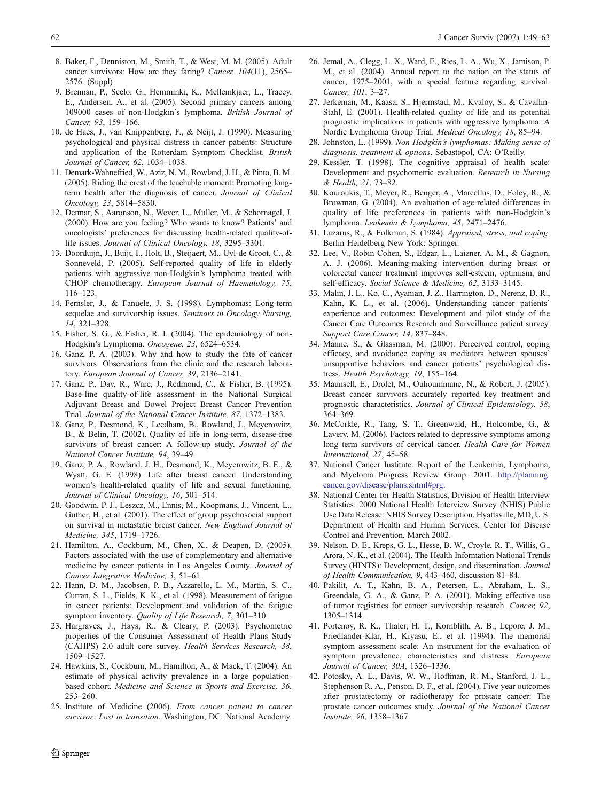- <span id="page-13-0"></span>8. Baker, F., Denniston, M., Smith, T., & West, M. M. (2005). Adult cancer survivors: How are they faring? Cancer, 104(11), 2565– 2576. (Suppl)
- 9. Brennan, P., Scelo, G., Hemminki, K., Mellemkjaer, L., Tracey, E., Andersen, A., et al. (2005). Second primary cancers among 109000 cases of non-Hodgkin's lymphoma. British Journal of Cancer, 93, 159–166.
- 10. de Haes, J., van Knippenberg, F., & Neijt, J. (1990). Measuring psychological and physical distress in cancer patients: Structure and application of the Rotterdam Symptom Checklist. British Journal of Cancer, 62, 1034–1038.
- 11. Demark-Wahnefried, W., Aziz, N. M., Rowland,J. H., & Pinto, B. M. (2005). Riding the crest of the teachable moment: Promoting longterm health after the diagnosis of cancer. Journal of Clinical Oncology, 23, 5814–5830.
- 12. Detmar, S., Aaronson, N., Wever, L., Muller, M., & Schornagel, J. (2000). How are you feeling? Who wants to know? Patients' and oncologists' preferences for discussing health-related quality-oflife issues. Journal of Clinical Oncology, 18, 3295–3301.
- 13. Doorduijn, J., Buijt, I., Holt, B., Steijaert, M., Uyl-de Groot, C., & Sonneveld, P. (2005). Self-reported quality of life in elderly patients with aggressive non-Hodgkin's lymphoma treated with CHOP chemotherapy. European Journal of Haematology, 75, 116–123.
- 14. Fernsler, J., & Fanuele, J. S. (1998). Lymphomas: Long-term sequelae and survivorship issues. Seminars in Oncology Nursing, 14, 321–328.
- 15. Fisher, S. G., & Fisher, R. I. (2004). The epidemiology of non-Hodgkin's Lymphoma. Oncogene, 23, 6524–6534.
- 16. Ganz, P. A. (2003). Why and how to study the fate of cancer survivors: Observations from the clinic and the research laboratory. European Journal of Cancer, 39, 2136–2141.
- 17. Ganz, P., Day, R., Ware, J., Redmond, C., & Fisher, B. (1995). Base-line quality-of-life assessment in the National Surgical Adjuvant Breast and Bowel Project Breast Cancer Prevention Trial. Journal of the National Cancer Institute, 87, 1372–1383.
- 18. Ganz, P., Desmond, K., Leedham, B., Rowland, J., Meyerowitz, B., & Belin, T. (2002). Quality of life in long-term, disease-free survivors of breast cancer: A follow-up study. Journal of the National Cancer Institute, 94, 39–49.
- 19. Ganz, P. A., Rowland, J. H., Desmond, K., Meyerowitz, B. E., & Wyatt, G. E. (1998). Life after breast cancer: Understanding women's health-related quality of life and sexual functioning. Journal of Clinical Oncology, 16, 501–514.
- 20. Goodwin, P. J., Leszcz, M., Ennis, M., Koopmans, J., Vincent, L., Guther, H., et al. (2001). The effect of group psychosocial support on survival in metastatic breast cancer. New England Journal of Medicine, 345, 1719–1726.
- 21. Hamilton, A., Cockburn, M., Chen, X., & Deapen, D. (2005). Factors associated with the use of complementary and alternative medicine by cancer patients in Los Angeles County. Journal of Cancer Integrative Medicine, 3, 51–61.
- 22. Hann, D. M., Jacobsen, P. B., Azzarello, L. M., Martin, S. C., Curran, S. L., Fields, K. K., et al. (1998). Measurement of fatigue in cancer patients: Development and validation of the fatigue symptom inventory. Quality of Life Research, 7, 301-310.
- 23. Hargraves, J., Hays, R., & Cleary, P. (2003). Psychometric properties of the Consumer Assessment of Health Plans Study (CAHPS) 2.0 adult core survey. Health Services Research, 38, 1509–1527.
- 24. Hawkins, S., Cockburn, M., Hamilton, A., & Mack, T. (2004). An estimate of physical activity prevalence in a large populationbased cohort. Medicine and Science in Sports and Exercise, 36, 253–260.
- 25. Institute of Medicine (2006). From cancer patient to cancer survivor: Lost in transition. Washington, DC: National Academy.
- 26. Jemal, A., Clegg, L. X., Ward, E., Ries, L. A., Wu, X., Jamison, P. M., et al. (2004). Annual report to the nation on the status of cancer, 1975–2001, with a special feature regarding survival. Cancer, 101, 3–27.
- 27. Jerkeman, M., Kaasa, S., Hjermstad, M., Kvaloy, S., & Cavallin-Stahl, E. (2001). Health-related quality of life and its potential prognostic implications in patients with aggressive lymphoma: A Nordic Lymphoma Group Trial. Medical Oncology, 18, 85–94.
- 28. Johnston, L. (1999). Non-Hodgkin's lymphomas: Making sense of diagnosis, treatment & options. Sebastopol, CA: O'Reilly.
- 29. Kessler, T. (1998). The cognitive appraisal of health scale: Development and psychometric evaluation. Research in Nursing & Health, 21, 73–82.
- 30. Kouroukis, T., Meyer, R., Benger, A., Marcellus, D., Foley, R., & Browman, G. (2004). An evaluation of age-related differences in quality of life preferences in patients with non-Hodgkin's lymphoma. Leukemia & Lymphoma, 45, 2471–2476.
- 31. Lazarus, R., & Folkman, S. (1984). Appraisal, stress, and coping. Berlin Heidelberg New York: Springer.
- 32. Lee, V., Robin Cohen, S., Edgar, L., Laizner, A. M., & Gagnon, A. J. (2006). Meaning-making intervention during breast or colorectal cancer treatment improves self-esteem, optimism, and self-efficacy. Social Science & Medicine, 62, 3133–3145.
- 33. Malin, J. L., Ko, C., Ayanian, J. Z., Harrington, D., Nerenz, D. R., Kahn, K. L., et al. (2006). Understanding cancer patients' experience and outcomes: Development and pilot study of the Cancer Care Outcomes Research and Surveillance patient survey. Support Care Cancer, 14, 837–848.
- 34. Manne, S., & Glassman, M. (2000). Perceived control, coping efficacy, and avoidance coping as mediators between spouses' unsupportive behaviors and cancer patients' psychological distress. Health Psychology, 19, 155–164.
- 35. Maunsell, E., Drolet, M., Ouhoummane, N., & Robert, J. (2005). Breast cancer survivors accurately reported key treatment and prognostic characteristics. Journal of Clinical Epidemiology, 58, 364–369.
- 36. McCorkle, R., Tang, S. T., Greenwald, H., Holcombe, G., & Lavery, M. (2006). Factors related to depressive symptoms among long term survivors of cervical cancer. Health Care for Women International, 27, 45–58.
- 37. National Cancer Institute. Report of the Leukemia, Lymphoma, and Myeloma Progress Review Group. 2001. [http://planning.](http://planning.cancer.gov/disease/plans.shtml#prg) [cancer.gov/disease/plans.shtml#prg](http://planning.cancer.gov/disease/plans.shtml#prg).
- 38. National Center for Health Statistics, Division of Health Interview Statistics: 2000 National Health Interview Survey (NHIS) Public Use Data Release: NHIS Survey Description. Hyattsville, MD, U.S. Department of Health and Human Services, Center for Disease Control and Prevention, March 2002.
- 39. Nelson, D. E., Kreps, G. L., Hesse, B. W., Croyle, R. T., Willis, G., Arora, N. K., et al. (2004). The Health Information National Trends Survey (HINTS): Development, design, and dissemination. Journal of Health Communication, 9, 443–460, discussion 81–84.
- 40. Pakilit, A. T., Kahn, B. A., Petersen, L., Abraham, L. S., Greendale, G. A., & Ganz, P. A. (2001). Making effective use of tumor registries for cancer survivorship research. Cancer, 92, 1305–1314.
- 41. Portenoy, R. K., Thaler, H. T., Kornblith, A. B., Lepore, J. M., Friedlander-Klar, H., Kiyasu, E., et al. (1994). The memorial symptom assessment scale: An instrument for the evaluation of symptom prevalence, characteristics and distress. European Journal of Cancer, 30A, 1326–1336.
- 42. Potosky, A. L., Davis, W. W., Hoffman, R. M., Stanford, J. L., Stephenson R. A., Penson, D. F., et al. (2004). Five year outcomes after prostatectomy or radiotherapy for prostate cancer: The prostate cancer outcomes study. Journal of the National Cancer Institute, 96, 1358–1367.

 $\bigcirc$  Springer